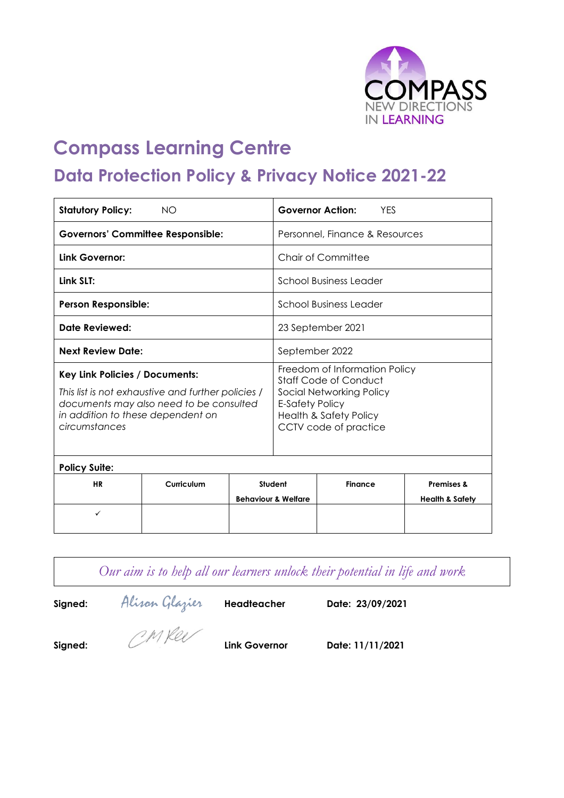

# **Compass Learning Centre**

# **Data Protection Policy & Privacy Notice 2021-22**

| <b>Statutory Policy:</b>                                                                                                                                                                     | <b>NO</b>  |                                |                                                                                                                                                                            | <b>Governor Action:</b><br><b>YFS</b> |                                                     |
|----------------------------------------------------------------------------------------------------------------------------------------------------------------------------------------------|------------|--------------------------------|----------------------------------------------------------------------------------------------------------------------------------------------------------------------------|---------------------------------------|-----------------------------------------------------|
| <b>Governors' Committee Responsible:</b>                                                                                                                                                     |            | Personnel, Finance & Resources |                                                                                                                                                                            |                                       |                                                     |
| Link Governor:                                                                                                                                                                               |            | Chair of Committee             |                                                                                                                                                                            |                                       |                                                     |
| Link SLT:                                                                                                                                                                                    |            |                                | School Business Leader                                                                                                                                                     |                                       |                                                     |
| <b>Person Responsible:</b>                                                                                                                                                                   |            | School Business Leader         |                                                                                                                                                                            |                                       |                                                     |
| Date Reviewed:                                                                                                                                                                               |            |                                | 23 September 2021                                                                                                                                                          |                                       |                                                     |
| <b>Next Review Date:</b>                                                                                                                                                                     |            |                                | September 2022                                                                                                                                                             |                                       |                                                     |
| <b>Key Link Policies / Documents:</b><br>This list is not exhaustive and further policies /<br>documents may also need to be consulted<br>in addition to these dependent on<br>circumstances |            |                                | Freedom of Information Policy<br><b>Staff Code of Conduct</b><br>Social Networking Policy<br>E-Safety Policy<br><b>Health &amp; Safety Policy</b><br>CCTV code of practice |                                       |                                                     |
| <b>Policy Suite:</b>                                                                                                                                                                         |            |                                |                                                                                                                                                                            |                                       |                                                     |
| <b>HR</b>                                                                                                                                                                                    | Curriculum |                                | Student<br><b>Behaviour &amp; Welfare</b>                                                                                                                                  | <b>Finance</b>                        | <b>Premises &amp;</b><br><b>Health &amp; Safety</b> |
| ✓                                                                                                                                                                                            |            |                                |                                                                                                                                                                            |                                       |                                                     |

|         |                |               | Our aim is to help all our learners unlock their potential in life and work |
|---------|----------------|---------------|-----------------------------------------------------------------------------|
| Signed: | Alisan Glazier | Headteacher   | Date: 23/09/2021                                                            |
| Signed: | CMRee          | Link Governor | Date: 11/11/2021                                                            |
|         |                |               |                                                                             |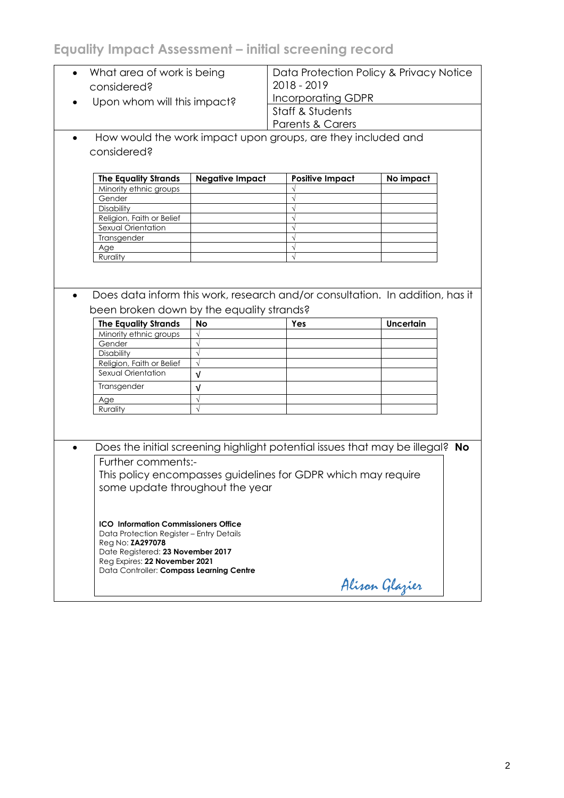## **Equality Impact Assessment – initial screening record**

| considered?                                                                                                                                                                                                                          | What area of work is being                                    |                                                                               | Data Protection Policy & Privacy Notice<br>2018 - 2019                                  |  |  |
|--------------------------------------------------------------------------------------------------------------------------------------------------------------------------------------------------------------------------------------|---------------------------------------------------------------|-------------------------------------------------------------------------------|-----------------------------------------------------------------------------------------|--|--|
|                                                                                                                                                                                                                                      | Upon whom will this impact?                                   |                                                                               | <b>Incorporating GDPR</b><br><b>Staff &amp; Students</b><br><b>Parents &amp; Carers</b> |  |  |
|                                                                                                                                                                                                                                      |                                                               | How would the work impact upon groups, are they included and                  |                                                                                         |  |  |
| considered?                                                                                                                                                                                                                          |                                                               |                                                                               |                                                                                         |  |  |
|                                                                                                                                                                                                                                      |                                                               |                                                                               |                                                                                         |  |  |
| <b>The Equality Strands</b>                                                                                                                                                                                                          | <b>Negative Impact</b>                                        | <b>Positive Impact</b>                                                        | No impact                                                                               |  |  |
| Minority ethnic groups                                                                                                                                                                                                               |                                                               |                                                                               |                                                                                         |  |  |
| Gender                                                                                                                                                                                                                               |                                                               |                                                                               |                                                                                         |  |  |
| Disability                                                                                                                                                                                                                           |                                                               | $\sqrt{}$                                                                     |                                                                                         |  |  |
| Religion, Faith or Belief                                                                                                                                                                                                            |                                                               | $\sqrt{}$                                                                     |                                                                                         |  |  |
| Sexual Orientation                                                                                                                                                                                                                   |                                                               | $\sqrt{}$                                                                     |                                                                                         |  |  |
| Transgender                                                                                                                                                                                                                          |                                                               |                                                                               |                                                                                         |  |  |
| Age                                                                                                                                                                                                                                  |                                                               | $\sqrt{}$                                                                     |                                                                                         |  |  |
| Rurality                                                                                                                                                                                                                             |                                                               |                                                                               |                                                                                         |  |  |
| been broken down by the equality strands?                                                                                                                                                                                            |                                                               | Does data inform this work, research and/or consultation. In addition, has it |                                                                                         |  |  |
| <b>The Equality Strands</b>                                                                                                                                                                                                          | <b>No</b>                                                     | Yes                                                                           | <b>Uncertain</b>                                                                        |  |  |
| Minority ethnic groups                                                                                                                                                                                                               |                                                               |                                                                               |                                                                                         |  |  |
| Gender                                                                                                                                                                                                                               |                                                               |                                                                               |                                                                                         |  |  |
| Disability                                                                                                                                                                                                                           | $\sqrt{}$                                                     |                                                                               |                                                                                         |  |  |
| Religion, Faith or Belief                                                                                                                                                                                                            | $\sqrt{ }$                                                    |                                                                               |                                                                                         |  |  |
| Sexual Orientation                                                                                                                                                                                                                   | $\sqrt{ }$                                                    |                                                                               |                                                                                         |  |  |
| Transgender                                                                                                                                                                                                                          | v                                                             |                                                                               |                                                                                         |  |  |
| Age                                                                                                                                                                                                                                  | $\sqrt{}$                                                     |                                                                               |                                                                                         |  |  |
| Rurality                                                                                                                                                                                                                             |                                                               |                                                                               |                                                                                         |  |  |
|                                                                                                                                                                                                                                      |                                                               |                                                                               |                                                                                         |  |  |
| $\bullet$                                                                                                                                                                                                                            |                                                               | Does the initial screening highlight potential issues that may be illegal? No |                                                                                         |  |  |
| Further comments:-                                                                                                                                                                                                                   |                                                               |                                                                               |                                                                                         |  |  |
|                                                                                                                                                                                                                                      | This policy encompasses guidelines for GDPR which may require |                                                                               |                                                                                         |  |  |
| some update throughout the year                                                                                                                                                                                                      |                                                               |                                                                               |                                                                                         |  |  |
| <b>ICO Information Commissioners Office</b><br>Data Protection Register - Entry Details<br>Reg No: <b>ZA297078</b><br>Date Registered: 23 November 2017<br>Reg Expires: 22 November 2021<br>Data Controller: Compass Learning Centre |                                                               |                                                                               |                                                                                         |  |  |
|                                                                                                                                                                                                                                      |                                                               |                                                                               | Alisan Glazier                                                                          |  |  |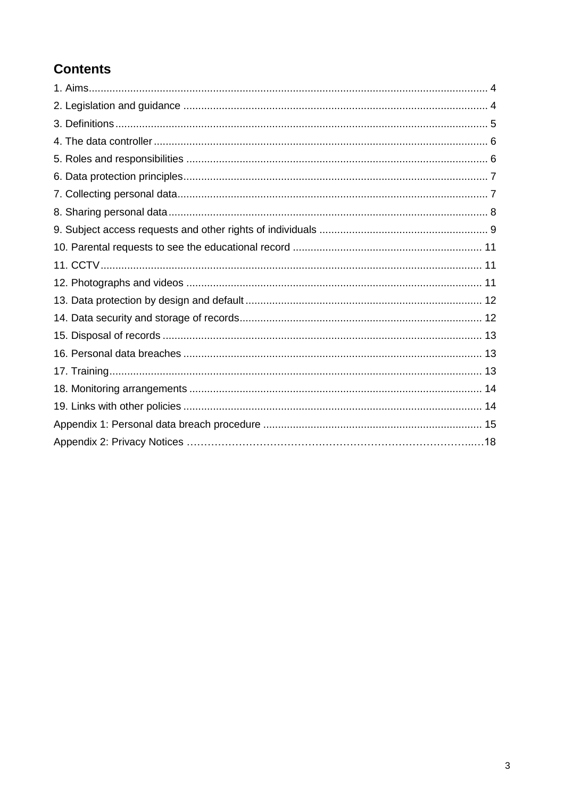### **Contents**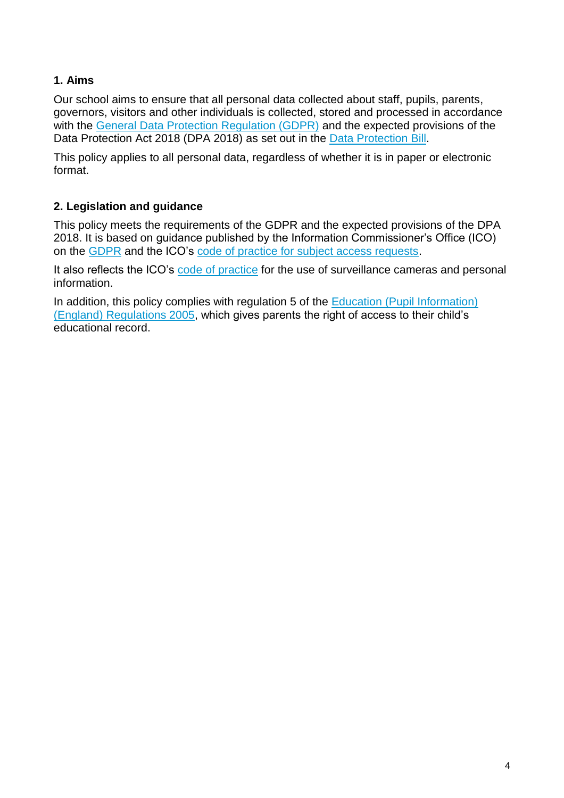#### **1. Aims**

Our school aims to ensure that all personal data collected about staff, pupils, parents, governors, visitors and other individuals is collected, stored and processed in accordance with the [General Data Protection Regulation \(GDPR\)](http://data.consilium.europa.eu/doc/document/ST-5419-2016-INIT/en/pdf) and the expected provisions of the Data Protection Act 2018 (DPA 2018) as set out in the [Data Protection Bill.](https://publications.parliament.uk/pa/bills/cbill/2017-2019/0153/18153.pdf)

This policy applies to all personal data, regardless of whether it is in paper or electronic format.

#### **2. Legislation and guidance**

This policy meets the requirements of the GDPR and the expected provisions of the DPA 2018. It is based on guidance published by the Information Commissioner's Office (ICO) on the [GDPR](https://ico.org.uk/for-organisations/guide-to-the-general-data-protection-regulation-gdpr/) and the ICO's [code of practice for subject access requests.](https://ico.org.uk/media/for-organisations/documents/2014223/subject-access-code-of-practice.pdf)

It also reflects the ICO's [code of practice](https://ico.org.uk/media/for-organisations/documents/1542/cctv-code-of-practice.pdf) for the use of surveillance cameras and personal information.

In addition, this policy complies with regulation 5 of the Education (Pupil Information) [\(England\) Regulations 2005,](http://www.legislation.gov.uk/uksi/2005/1437/regulation/5/made) which gives parents the right of access to their child's educational record.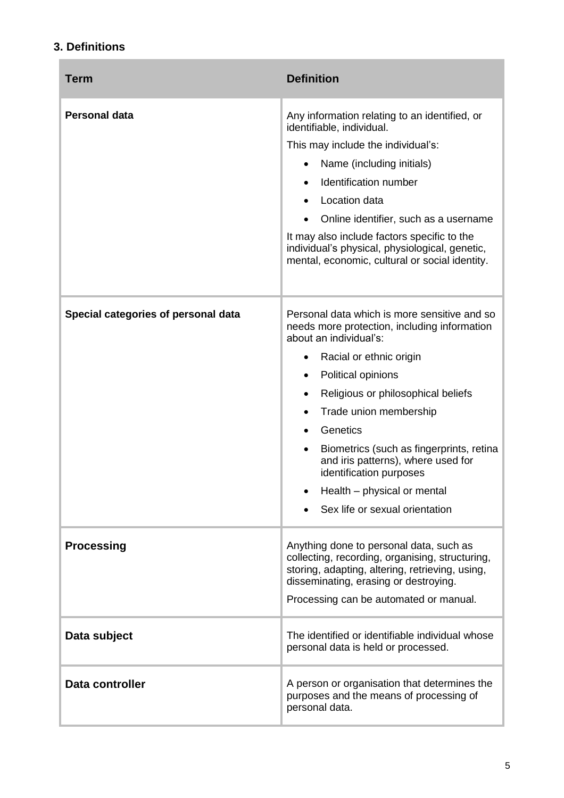#### **3. Definitions**

| <b>Term</b>                         | <b>Definition</b>                                                                                                                                                                                                                                                                                                                                                                                                                                                          |
|-------------------------------------|----------------------------------------------------------------------------------------------------------------------------------------------------------------------------------------------------------------------------------------------------------------------------------------------------------------------------------------------------------------------------------------------------------------------------------------------------------------------------|
| <b>Personal data</b>                | Any information relating to an identified, or<br>identifiable, individual.<br>This may include the individual's:<br>Name (including initials)<br>Identification number<br>$\bullet$<br>Location data<br>Online identifier, such as a username<br>It may also include factors specific to the<br>individual's physical, physiological, genetic,<br>mental, economic, cultural or social identity.                                                                           |
| Special categories of personal data | Personal data which is more sensitive and so<br>needs more protection, including information<br>about an individual's:<br>Racial or ethnic origin<br>٠<br>Political opinions<br>$\bullet$<br>Religious or philosophical beliefs<br>Trade union membership<br>٠<br>Genetics<br>٠<br>Biometrics (such as fingerprints, retina<br>$\bullet$<br>and iris patterns), where used for<br>identification purposes<br>Health - physical or mental<br>Sex life or sexual orientation |
| <b>Processing</b>                   | Anything done to personal data, such as<br>collecting, recording, organising, structuring,<br>storing, adapting, altering, retrieving, using,<br>disseminating, erasing or destroying.<br>Processing can be automated or manual.                                                                                                                                                                                                                                           |
| Data subject                        | The identified or identifiable individual whose<br>personal data is held or processed.                                                                                                                                                                                                                                                                                                                                                                                     |
| Data controller                     | A person or organisation that determines the<br>purposes and the means of processing of<br>personal data.                                                                                                                                                                                                                                                                                                                                                                  |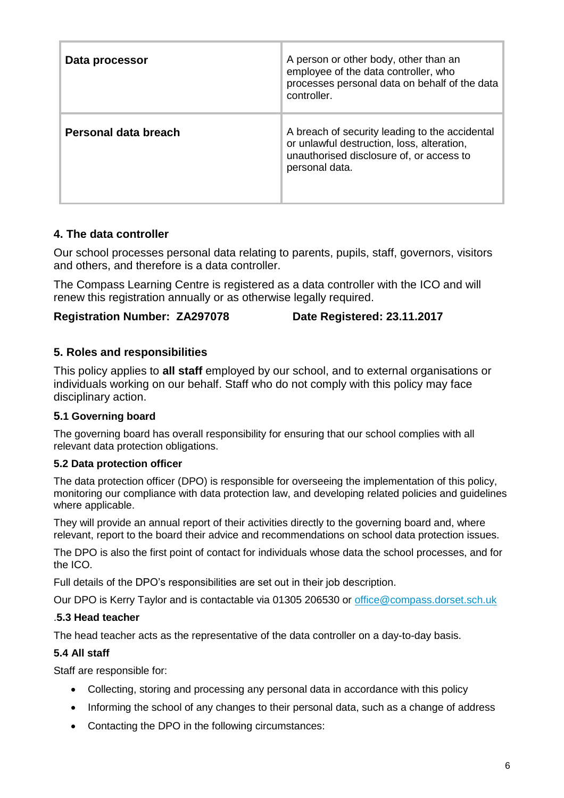| Data processor       | A person or other body, other than an<br>employee of the data controller, who<br>processes personal data on behalf of the data<br>controller.              |
|----------------------|------------------------------------------------------------------------------------------------------------------------------------------------------------|
| Personal data breach | A breach of security leading to the accidental<br>or unlawful destruction, loss, alteration,<br>unauthorised disclosure of, or access to<br>personal data. |

#### **4. The data controller**

Our school processes personal data relating to parents, pupils, staff, governors, visitors and others, and therefore is a data controller.

The Compass Learning Centre is registered as a data controller with the ICO and will renew this registration annually or as otherwise legally required.

#### **Registration Number: ZA297078 Date Registered: 23.11.2017**

#### **5. Roles and responsibilities**

This policy applies to **all staff** employed by our school, and to external organisations or individuals working on our behalf. Staff who do not comply with this policy may face disciplinary action.

#### **5.1 Governing board**

The governing board has overall responsibility for ensuring that our school complies with all relevant data protection obligations.

#### **5.2 Data protection officer**

The data protection officer (DPO) is responsible for overseeing the implementation of this policy, monitoring our compliance with data protection law, and developing related policies and guidelines where applicable.

They will provide an annual report of their activities directly to the governing board and, where relevant, report to the board their advice and recommendations on school data protection issues.

The DPO is also the first point of contact for individuals whose data the school processes, and for the ICO.

Full details of the DPO's responsibilities are set out in their job description.

Our DPO is Kerry Taylor and is contactable via 01305 206530 or [office@compass.dorset.sch.uk](mailto:office@compass.dorset.sch.uk)

#### .**5.3 Head teacher**

The head teacher acts as the representative of the data controller on a day-to-day basis.

#### **5.4 All staff**

Staff are responsible for:

- Collecting, storing and processing any personal data in accordance with this policy
- Informing the school of any changes to their personal data, such as a change of address
- Contacting the DPO in the following circumstances: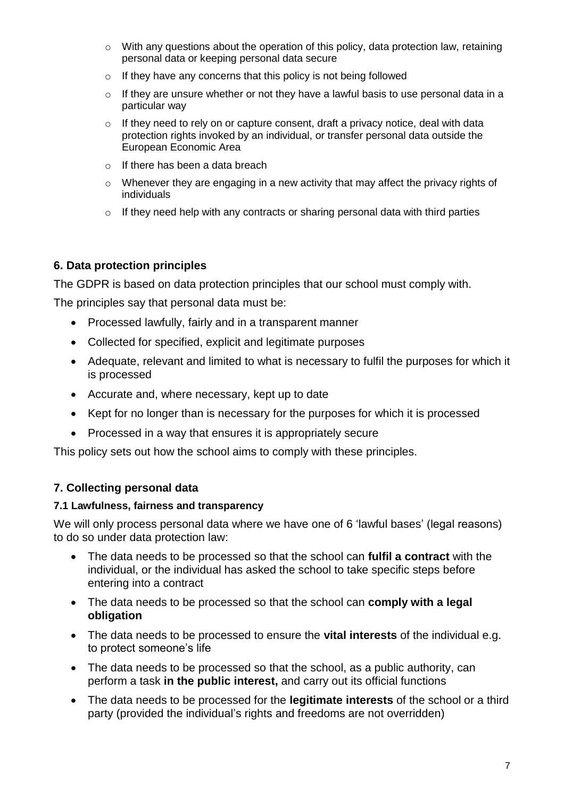- o With any questions about the operation of this policy, data protection law, retaining personal data or keeping personal data secure
- o If they have any concerns that this policy is not being followed
- $\circ$  If they are unsure whether or not they have a lawful basis to use personal data in a particular way
- o If they need to rely on or capture consent, draft a privacy notice, deal with data protection rights invoked by an individual, or transfer personal data outside the European Economic Area
- $\circ$  If there has been a data breach
- o Whenever they are engaging in a new activity that may affect the privacy rights of individuals
- o If they need help with any contracts or sharing personal data with third parties

#### **6. Data protection principles**

The GDPR is based on data protection principles that our school must comply with.

The principles say that personal data must be:

- Processed lawfully, fairly and in a transparent manner
- Collected for specified, explicit and legitimate purposes
- Adequate, relevant and limited to what is necessary to fulfil the purposes for which it is processed
- Accurate and, where necessary, kept up to date
- Kept for no longer than is necessary for the purposes for which it is processed
- Processed in a way that ensures it is appropriately secure

This policy sets out how the school aims to comply with these principles.

#### **7. Collecting personal data**

#### **7.1 Lawfulness, fairness and transparency**

We will only process personal data where we have one of 6 'lawful bases' (legal reasons) to do so under data protection law:

- The data needs to be processed so that the school can **fulfil a contract** with the individual, or the individual has asked the school to take specific steps before entering into a contract
- The data needs to be processed so that the school can **comply with a legal obligation**
- The data needs to be processed to ensure the **vital interests** of the individual e.g. to protect someone's life
- The data needs to be processed so that the school, as a public authority, can perform a task **in the public interest,** and carry out its official functions
- The data needs to be processed for the **legitimate interests** of the school or a third party (provided the individual's rights and freedoms are not overridden)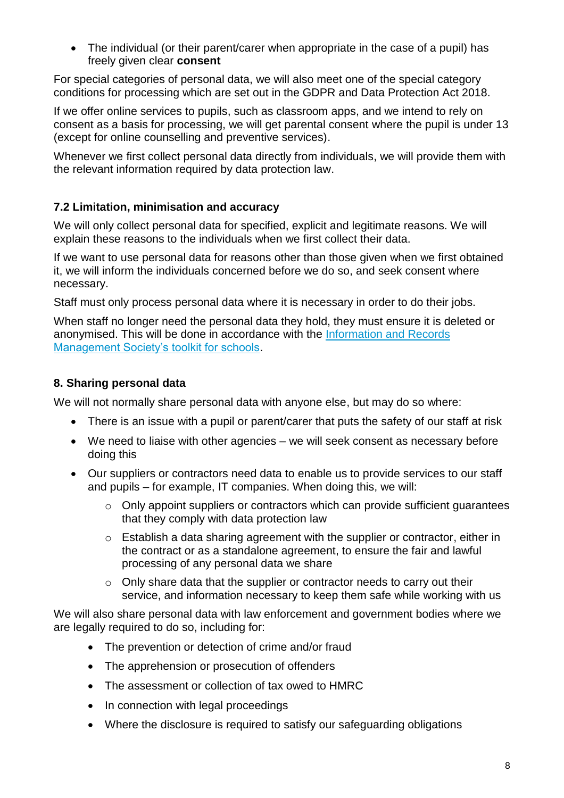• The individual (or their parent/carer when appropriate in the case of a pupil) has freely given clear **consent**

For special categories of personal data, we will also meet one of the special category conditions for processing which are set out in the GDPR and Data Protection Act 2018.

If we offer online services to pupils, such as classroom apps, and we intend to rely on consent as a basis for processing, we will get parental consent where the pupil is under 13 (except for online counselling and preventive services).

Whenever we first collect personal data directly from individuals, we will provide them with the relevant information required by data protection law.

#### **7.2 Limitation, minimisation and accuracy**

We will only collect personal data for specified, explicit and legitimate reasons. We will explain these reasons to the individuals when we first collect their data.

If we want to use personal data for reasons other than those given when we first obtained it, we will inform the individuals concerned before we do so, and seek consent where necessary.

Staff must only process personal data where it is necessary in order to do their jobs.

When staff no longer need the personal data they hold, they must ensure it is deleted or anonymised. This will be done in accordance with the [Information and Records](http://irms.org.uk/?page=schoolstoolkit&terms=%22toolkit+and+schools%22)  [Management Society's toolkit for schools.](http://irms.org.uk/?page=schoolstoolkit&terms=%22toolkit+and+schools%22)

#### **8. Sharing personal data**

We will not normally share personal data with anyone else, but may do so where:

- There is an issue with a pupil or parent/carer that puts the safety of our staff at risk
- We need to liaise with other agencies we will seek consent as necessary before doing this
- Our suppliers or contractors need data to enable us to provide services to our staff and pupils – for example, IT companies. When doing this, we will:
	- o Only appoint suppliers or contractors which can provide sufficient guarantees that they comply with data protection law
	- o Establish a data sharing agreement with the supplier or contractor, either in the contract or as a standalone agreement, to ensure the fair and lawful processing of any personal data we share
	- $\circ$  Only share data that the supplier or contractor needs to carry out their service, and information necessary to keep them safe while working with us

We will also share personal data with law enforcement and government bodies where we are legally required to do so, including for:

- The prevention or detection of crime and/or fraud
- The apprehension or prosecution of offenders
- The assessment or collection of tax owed to HMRC
- In connection with legal proceedings
- Where the disclosure is required to satisfy our safeguarding obligations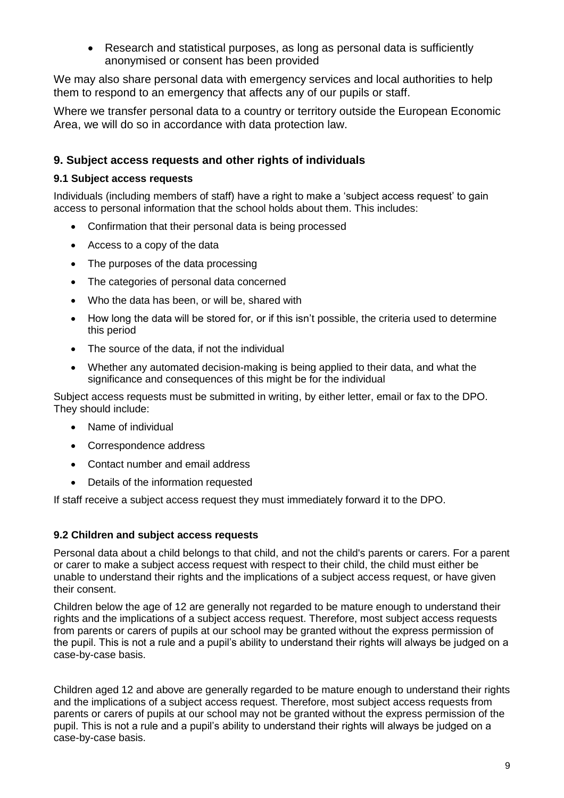• Research and statistical purposes, as long as personal data is sufficiently anonymised or consent has been provided

We may also share personal data with emergency services and local authorities to help them to respond to an emergency that affects any of our pupils or staff.

Where we transfer personal data to a country or territory outside the European Economic Area, we will do so in accordance with data protection law.

#### **9. Subject access requests and other rights of individuals**

#### **9.1 Subject access requests**

Individuals (including members of staff) have a right to make a 'subject access request' to gain access to personal information that the school holds about them. This includes:

- Confirmation that their personal data is being processed
- Access to a copy of the data
- The purposes of the data processing
- The categories of personal data concerned
- Who the data has been, or will be, shared with
- How long the data will be stored for, or if this isn't possible, the criteria used to determine this period
- The source of the data, if not the individual
- Whether any automated decision-making is being applied to their data, and what the significance and consequences of this might be for the individual

Subject access requests must be submitted in writing, by either letter, email or fax to the DPO. They should include:

- Name of individual
- Correspondence address
- Contact number and email address
- Details of the information requested

If staff receive a subject access request they must immediately forward it to the DPO.

#### **9.2 Children and subject access requests**

Personal data about a child belongs to that child, and not the child's parents or carers. For a parent or carer to make a subject access request with respect to their child, the child must either be unable to understand their rights and the implications of a subject access request, or have given their consent.

Children below the age of 12 are generally not regarded to be mature enough to understand their rights and the implications of a subject access request. Therefore, most subject access requests from parents or carers of pupils at our school may be granted without the express permission of the pupil. This is not a rule and a pupil's ability to understand their rights will always be judged on a case-by-case basis.

Children aged 12 and above are generally regarded to be mature enough to understand their rights and the implications of a subject access request. Therefore, most subject access requests from parents or carers of pupils at our school may not be granted without the express permission of the pupil. This is not a rule and a pupil's ability to understand their rights will always be judged on a case-by-case basis.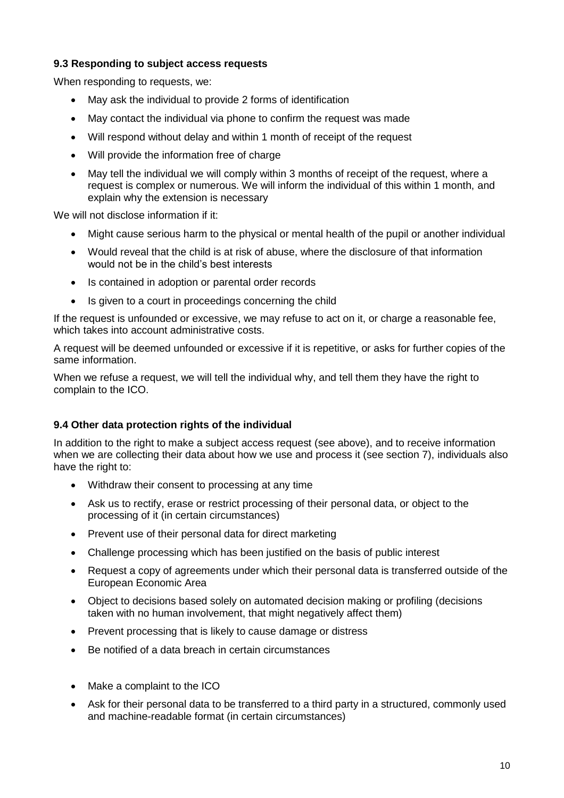#### **9.3 Responding to subject access requests**

When responding to requests, we:

- May ask the individual to provide 2 forms of identification
- May contact the individual via phone to confirm the request was made
- Will respond without delay and within 1 month of receipt of the request
- Will provide the information free of charge
- May tell the individual we will comply within 3 months of receipt of the request, where a request is complex or numerous. We will inform the individual of this within 1 month, and explain why the extension is necessary

We will not disclose information if it:

- Might cause serious harm to the physical or mental health of the pupil or another individual
- Would reveal that the child is at risk of abuse, where the disclosure of that information would not be in the child's best interests
- Is contained in adoption or parental order records
- Is given to a court in proceedings concerning the child

If the request is unfounded or excessive, we may refuse to act on it, or charge a reasonable fee, which takes into account administrative costs.

A request will be deemed unfounded or excessive if it is repetitive, or asks for further copies of the same information.

When we refuse a request, we will tell the individual why, and tell them they have the right to complain to the ICO.

#### **9.4 Other data protection rights of the individual**

In addition to the right to make a subject access request (see above), and to receive information when we are collecting their data about how we use and process it (see section 7), individuals also have the right to:

- Withdraw their consent to processing at any time
- Ask us to rectify, erase or restrict processing of their personal data, or object to the processing of it (in certain circumstances)
- Prevent use of their personal data for direct marketing
- Challenge processing which has been justified on the basis of public interest
- Request a copy of agreements under which their personal data is transferred outside of the European Economic Area
- Object to decisions based solely on automated decision making or profiling (decisions taken with no human involvement, that might negatively affect them)
- Prevent processing that is likely to cause damage or distress
- Be notified of a data breach in certain circumstances
- Make a complaint to the ICO
- Ask for their personal data to be transferred to a third party in a structured, commonly used and machine-readable format (in certain circumstances)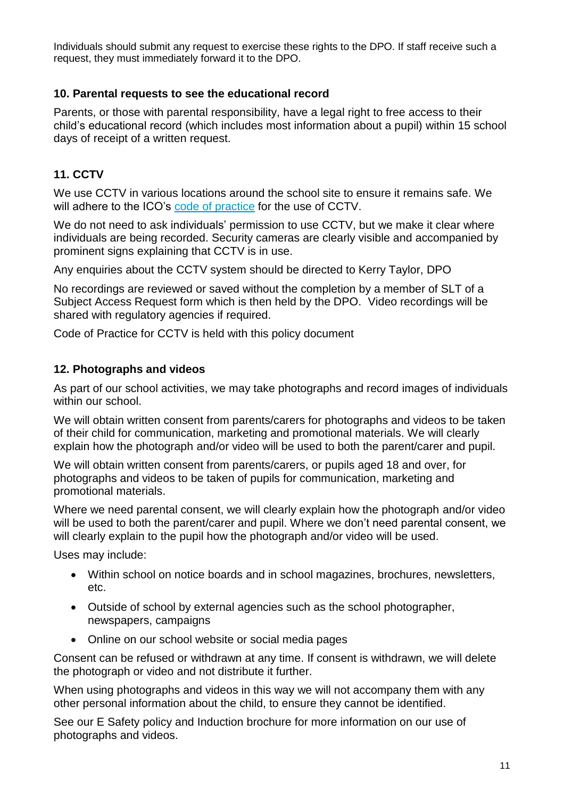Individuals should submit any request to exercise these rights to the DPO. If staff receive such a request, they must immediately forward it to the DPO.

#### **10. Parental requests to see the educational record**

Parents, or those with parental responsibility, have a legal right to free access to their child's educational record (which includes most information about a pupil) within 15 school days of receipt of a written request.

#### **11. CCTV**

We use CCTV in various locations around the school site to ensure it remains safe. We will adhere to the ICO's [code of practice](https://ico.org.uk/media/for-organisations/documents/1542/cctv-code-of-practice.pdf) for the use of CCTV.

We do not need to ask individuals' permission to use CCTV, but we make it clear where individuals are being recorded. Security cameras are clearly visible and accompanied by prominent signs explaining that CCTV is in use.

Any enquiries about the CCTV system should be directed to Kerry Taylor, DPO

No recordings are reviewed or saved without the completion by a member of SLT of a Subject Access Request form which is then held by the DPO. Video recordings will be shared with regulatory agencies if required.

Code of Practice for CCTV is held with this policy document

#### **12. Photographs and videos**

As part of our school activities, we may take photographs and record images of individuals within our school.

We will obtain written consent from parents/carers for photographs and videos to be taken of their child for communication, marketing and promotional materials. We will clearly explain how the photograph and/or video will be used to both the parent/carer and pupil.

We will obtain written consent from parents/carers, or pupils aged 18 and over, for photographs and videos to be taken of pupils for communication, marketing and promotional materials.

Where we need parental consent, we will clearly explain how the photograph and/or video will be used to both the parent/carer and pupil. Where we don't need parental consent, we will clearly explain to the pupil how the photograph and/or video will be used.

Uses may include:

- Within school on notice boards and in school magazines, brochures, newsletters, etc.
- Outside of school by external agencies such as the school photographer, newspapers, campaigns
- Online on our school website or social media pages

Consent can be refused or withdrawn at any time. If consent is withdrawn, we will delete the photograph or video and not distribute it further.

When using photographs and videos in this way we will not accompany them with any other personal information about the child, to ensure they cannot be identified.

See our E Safety policy and Induction brochure for more information on our use of photographs and videos.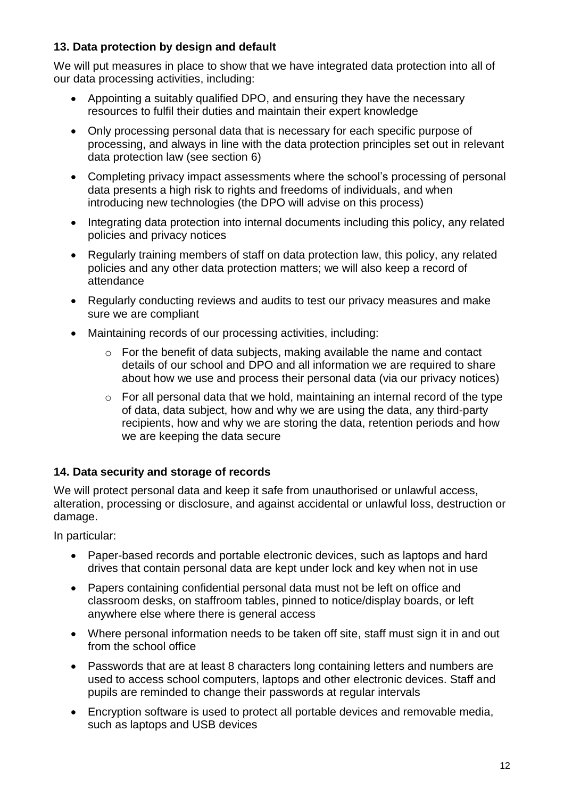#### **13. Data protection by design and default**

We will put measures in place to show that we have integrated data protection into all of our data processing activities, including:

- Appointing a suitably qualified DPO, and ensuring they have the necessary resources to fulfil their duties and maintain their expert knowledge
- Only processing personal data that is necessary for each specific purpose of processing, and always in line with the data protection principles set out in relevant data protection law (see section 6)
- Completing privacy impact assessments where the school's processing of personal data presents a high risk to rights and freedoms of individuals, and when introducing new technologies (the DPO will advise on this process)
- Integrating data protection into internal documents including this policy, any related policies and privacy notices
- Regularly training members of staff on data protection law, this policy, any related policies and any other data protection matters; we will also keep a record of attendance
- Regularly conducting reviews and audits to test our privacy measures and make sure we are compliant
- Maintaining records of our processing activities, including:
	- o For the benefit of data subjects, making available the name and contact details of our school and DPO and all information we are required to share about how we use and process their personal data (via our privacy notices)
	- o For all personal data that we hold, maintaining an internal record of the type of data, data subject, how and why we are using the data, any third-party recipients, how and why we are storing the data, retention periods and how we are keeping the data secure

#### **14. Data security and storage of records**

We will protect personal data and keep it safe from unauthorised or unlawful access, alteration, processing or disclosure, and against accidental or unlawful loss, destruction or damage.

In particular:

- Paper-based records and portable electronic devices, such as laptops and hard drives that contain personal data are kept under lock and key when not in use
- Papers containing confidential personal data must not be left on office and classroom desks, on staffroom tables, pinned to notice/display boards, or left anywhere else where there is general access
- Where personal information needs to be taken off site, staff must sign it in and out from the school office
- Passwords that are at least 8 characters long containing letters and numbers are used to access school computers, laptops and other electronic devices. Staff and pupils are reminded to change their passwords at regular intervals
- Encryption software is used to protect all portable devices and removable media, such as laptops and USB devices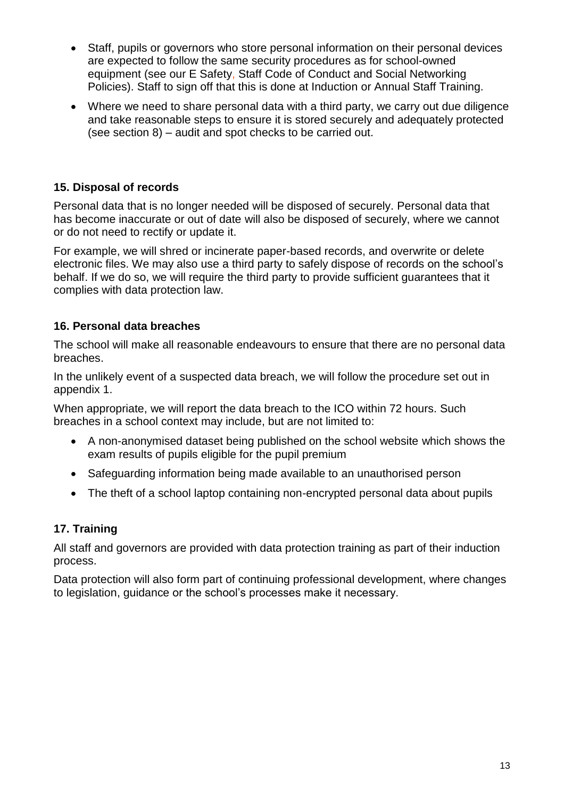- Staff, pupils or governors who store personal information on their personal devices are expected to follow the same security procedures as for school-owned equipment (see our E Safety, Staff Code of Conduct and Social Networking Policies). Staff to sign off that this is done at Induction or Annual Staff Training.
- Where we need to share personal data with a third party, we carry out due diligence and take reasonable steps to ensure it is stored securely and adequately protected (see section 8) – audit and spot checks to be carried out.

#### **15. Disposal of records**

Personal data that is no longer needed will be disposed of securely. Personal data that has become inaccurate or out of date will also be disposed of securely, where we cannot or do not need to rectify or update it.

For example, we will shred or incinerate paper-based records, and overwrite or delete electronic files. We may also use a third party to safely dispose of records on the school's behalf. If we do so, we will require the third party to provide sufficient guarantees that it complies with data protection law.

#### **16. Personal data breaches**

The school will make all reasonable endeavours to ensure that there are no personal data breaches.

In the unlikely event of a suspected data breach, we will follow the procedure set out in appendix 1.

When appropriate, we will report the data breach to the ICO within 72 hours. Such breaches in a school context may include, but are not limited to:

- A non-anonymised dataset being published on the school website which shows the exam results of pupils eligible for the pupil premium
- Safeguarding information being made available to an unauthorised person
- The theft of a school laptop containing non-encrypted personal data about pupils

#### **17. Training**

All staff and governors are provided with data protection training as part of their induction process.

Data protection will also form part of continuing professional development, where changes to legislation, guidance or the school's processes make it necessary.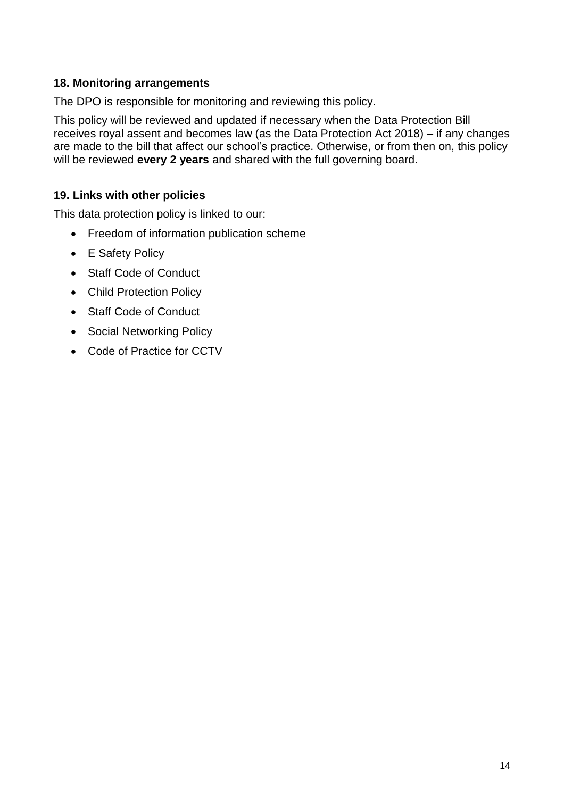#### **18. Monitoring arrangements**

The DPO is responsible for monitoring and reviewing this policy.

This policy will be reviewed and updated if necessary when the Data Protection Bill receives royal assent and becomes law (as the Data Protection Act 2018) – if any changes are made to the bill that affect our school's practice. Otherwise, or from then on, this policy will be reviewed **every 2 years** and shared with the full governing board.

#### **19. Links with other policies**

This data protection policy is linked to our:

- Freedom of information publication scheme
- E Safety Policy
- Staff Code of Conduct
- Child Protection Policy
- Staff Code of Conduct
- Social Networking Policy
- Code of Practice for CCTV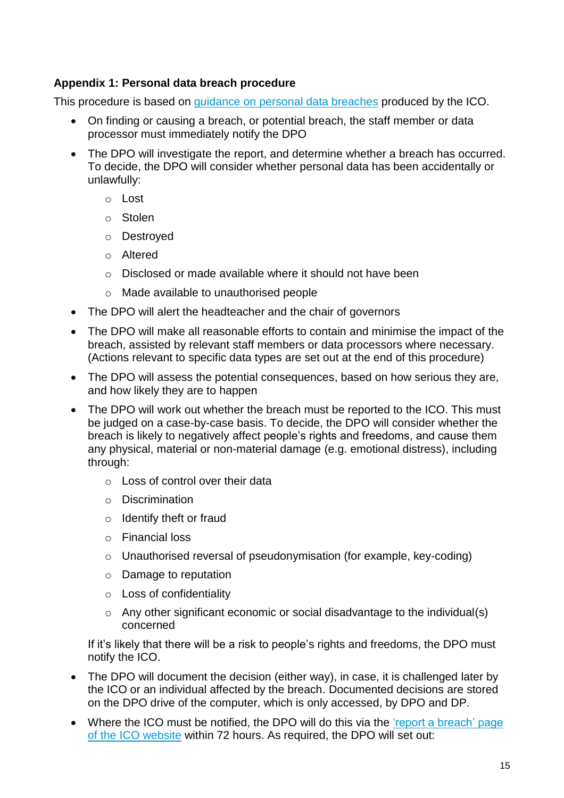#### **Appendix 1: Personal data breach procedure**

This procedure is based on [guidance on personal data breaches](https://ico.org.uk/for-organisations/guide-to-the-general-data-protection-regulation-gdpr/personal-data-breaches/) produced by the ICO.

- On finding or causing a breach, or potential breach, the staff member or data processor must immediately notify the DPO
- The DPO will investigate the report, and determine whether a breach has occurred. To decide, the DPO will consider whether personal data has been accidentally or unlawfully:
	- o Lost
	- o Stolen
	- o Destroyed
	- o Altered
	- o Disclosed or made available where it should not have been
	- o Made available to unauthorised people
- The DPO will alert the headteacher and the chair of governors
- The DPO will make all reasonable efforts to contain and minimise the impact of the breach, assisted by relevant staff members or data processors where necessary. (Actions relevant to specific data types are set out at the end of this procedure)
- The DPO will assess the potential consequences, based on how serious they are, and how likely they are to happen
- The DPO will work out whether the breach must be reported to the ICO. This must be judged on a case-by-case basis. To decide, the DPO will consider whether the breach is likely to negatively affect people's rights and freedoms, and cause them any physical, material or non-material damage (e.g. emotional distress), including through:
	- o Loss of control over their data
	- o Discrimination
	- o Identify theft or fraud
	- o Financial loss
	- o Unauthorised reversal of pseudonymisation (for example, key-coding)
	- o Damage to reputation
	- o Loss of confidentiality
	- o Any other significant economic or social disadvantage to the individual(s) concerned

If it's likely that there will be a risk to people's rights and freedoms, the DPO must notify the ICO.

- The DPO will document the decision (either way), in case, it is challenged later by the ICO or an individual affected by the breach. Documented decisions are stored on the DPO drive of the computer, which is only accessed, by DPO and DP.
- Where the ICO must be notified, the DPO will do this via the 'report a breach' page [of the ICO website](https://ico.org.uk/for-organisations/report-a-breach/) within 72 hours. As required, the DPO will set out: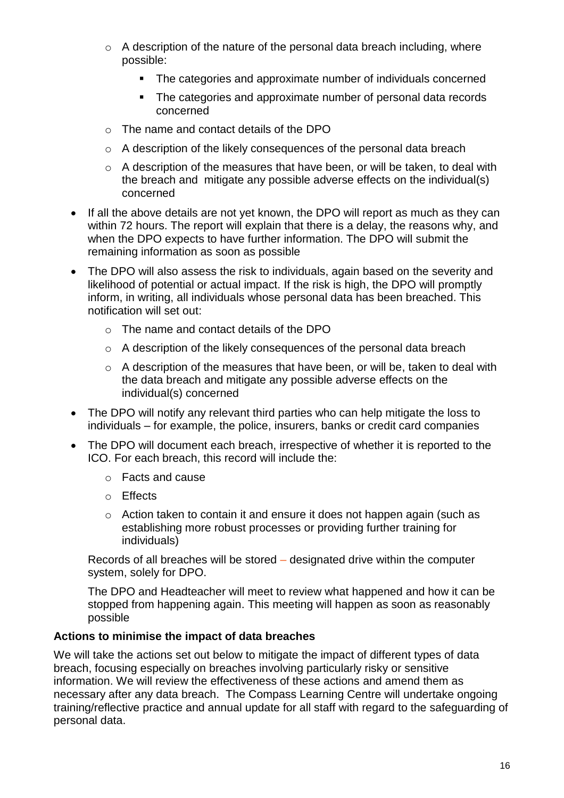- $\circ$  A description of the nature of the personal data breach including, where possible:
	- The categories and approximate number of individuals concerned
	- **The categories and approximate number of personal data records** concerned
- o The name and contact details of the DPO
- $\circ$  A description of the likely consequences of the personal data breach
- o A description of the measures that have been, or will be taken, to deal with the breach and mitigate any possible adverse effects on the individual(s) concerned
- If all the above details are not yet known, the DPO will report as much as they can within 72 hours. The report will explain that there is a delay, the reasons why, and when the DPO expects to have further information. The DPO will submit the remaining information as soon as possible
- The DPO will also assess the risk to individuals, again based on the severity and likelihood of potential or actual impact. If the risk is high, the DPO will promptly inform, in writing, all individuals whose personal data has been breached. This notification will set out:
	- o The name and contact details of the DPO
	- o A description of the likely consequences of the personal data breach
	- $\circ$  A description of the measures that have been, or will be, taken to deal with the data breach and mitigate any possible adverse effects on the individual(s) concerned
- The DPO will notify any relevant third parties who can help mitigate the loss to individuals – for example, the police, insurers, banks or credit card companies
- The DPO will document each breach, irrespective of whether it is reported to the ICO. For each breach, this record will include the:
	- o Facts and cause
	- o Effects
	- o Action taken to contain it and ensure it does not happen again (such as establishing more robust processes or providing further training for individuals)

Records of all breaches will be stored – designated drive within the computer system, solely for DPO.

The DPO and Headteacher will meet to review what happened and how it can be stopped from happening again. This meeting will happen as soon as reasonably possible

#### **Actions to minimise the impact of data breaches**

We will take the actions set out below to mitigate the impact of different types of data breach, focusing especially on breaches involving particularly risky or sensitive information. We will review the effectiveness of these actions and amend them as necessary after any data breach. The Compass Learning Centre will undertake ongoing training/reflective practice and annual update for all staff with regard to the safeguarding of personal data.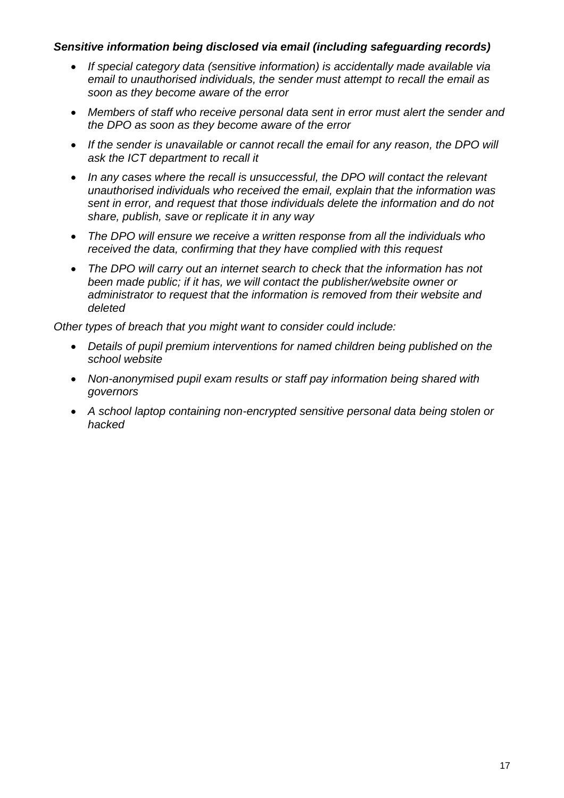#### *Sensitive information being disclosed via email (including safeguarding records)*

- *If special category data (sensitive information) is accidentally made available via email to unauthorised individuals, the sender must attempt to recall the email as soon as they become aware of the error*
- *Members of staff who receive personal data sent in error must alert the sender and the DPO as soon as they become aware of the error*
- *If the sender is unavailable or cannot recall the email for any reason, the DPO will ask the ICT department to recall it*
- In any cases where the recall is unsuccessful, the DPO will contact the relevant *unauthorised individuals who received the email, explain that the information was sent in error, and request that those individuals delete the information and do not share, publish, save or replicate it in any way*
- *The DPO will ensure we receive a written response from all the individuals who received the data, confirming that they have complied with this request*
- *The DPO will carry out an internet search to check that the information has not been made public; if it has, we will contact the publisher/website owner or administrator to request that the information is removed from their website and deleted*

*Other types of breach that you might want to consider could include:*

- *Details of pupil premium interventions for named children being published on the school website*
- *Non-anonymised pupil exam results or staff pay information being shared with governors*
- *A school laptop containing non-encrypted sensitive personal data being stolen or hacked*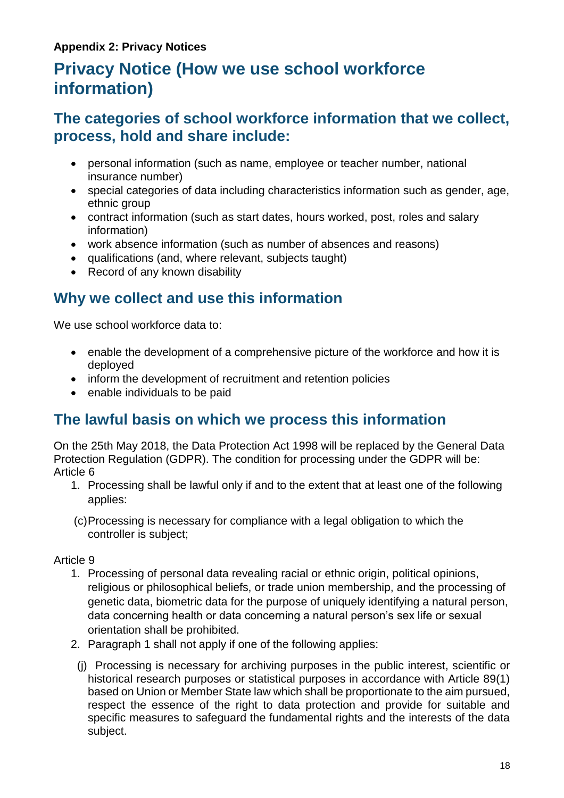# **Privacy Notice (How we use school workforce information)**

### **The categories of school workforce information that we collect, process, hold and share include:**

- personal information (such as name, employee or teacher number, national insurance number)
- special categories of data including characteristics information such as gender, age, ethnic group
- contract information (such as start dates, hours worked, post, roles and salary information)
- work absence information (such as number of absences and reasons)
- qualifications (and, where relevant, subjects taught)
- Record of any known disability

## **Why we collect and use this information**

We use school workforce data to:

- enable the development of a comprehensive picture of the workforce and how it is deployed
- inform the development of recruitment and retention policies
- enable individuals to be paid

### **The lawful basis on which we process this information**

On the 25th May 2018, the Data Protection Act 1998 will be replaced by the General Data Protection Regulation (GDPR). The condition for processing under the GDPR will be: Article 6

- 1. Processing shall be lawful only if and to the extent that at least one of the following applies:
- (c)Processing is necessary for compliance with a legal obligation to which the controller is subject;

Article 9

- 1. Processing of personal data revealing racial or ethnic origin, political opinions, religious or philosophical beliefs, or trade union membership, and the processing of genetic data, biometric data for the purpose of uniquely identifying a natural person, data concerning health or data concerning a natural person's sex life or sexual orientation shall be prohibited.
- 2. Paragraph 1 shall not apply if one of the following applies:
	- (j) Processing is necessary for archiving purposes in the public interest, scientific or historical research purposes or statistical purposes in accordance with Article 89(1) based on Union or Member State law which shall be proportionate to the aim pursued, respect the essence of the right to data protection and provide for suitable and specific measures to safeguard the fundamental rights and the interests of the data subject.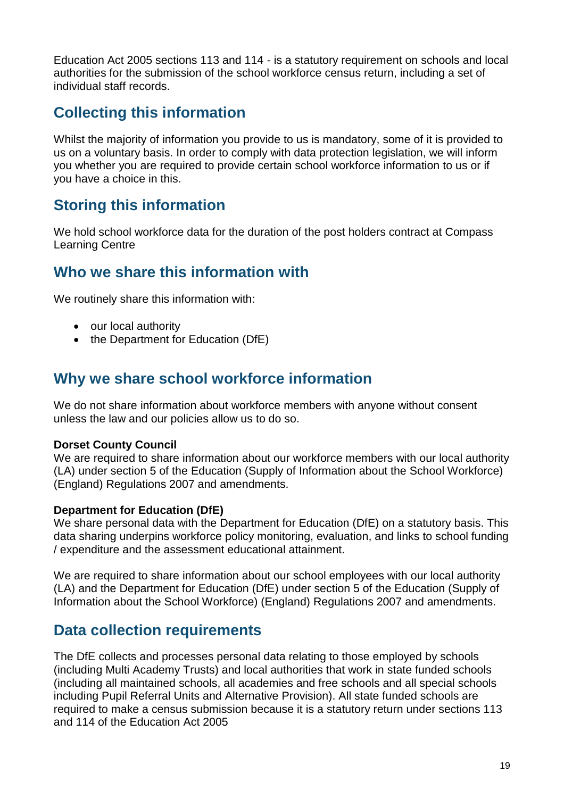Education Act 2005 sections 113 and 114 - is a statutory requirement on schools and local authorities for the submission of the school workforce census return, including a set of individual staff records.

## **Collecting this information**

Whilst the majority of information you provide to us is mandatory, some of it is provided to us on a voluntary basis. In order to comply with data protection legislation, we will inform you whether you are required to provide certain school workforce information to us or if you have a choice in this.

## **Storing this information**

We hold school workforce data for the duration of the post holders contract at Compass Learning Centre

### **Who we share this information with**

We routinely share this information with:

- our local authority
- the Department for Education (DfE)

### **Why we share school workforce information**

We do not share information about workforce members with anyone without consent unless the law and our policies allow us to do so.

#### **Dorset County Council**

We are required to share information about our workforce members with our local authority (LA) under section 5 of the Education (Supply of Information about the School Workforce) (England) Regulations 2007 and amendments.

#### **Department for Education (DfE)**

We share personal data with the Department for Education (DfE) on a statutory basis. This data sharing underpins workforce policy monitoring, evaluation, and links to school funding / expenditure and the assessment educational attainment.

We are required to share information about our school employees with our local authority (LA) and the Department for Education (DfE) under section 5 of the Education (Supply of Information about the School Workforce) (England) Regulations 2007 and amendments.

### **Data collection requirements**

The DfE collects and processes personal data relating to those employed by schools (including Multi Academy Trusts) and local authorities that work in state funded schools (including all maintained schools, all academies and free schools and all special schools including Pupil Referral Units and Alternative Provision). All state funded schools are required to make a census submission because it is a statutory return under sections 113 and 114 of the Education Act 2005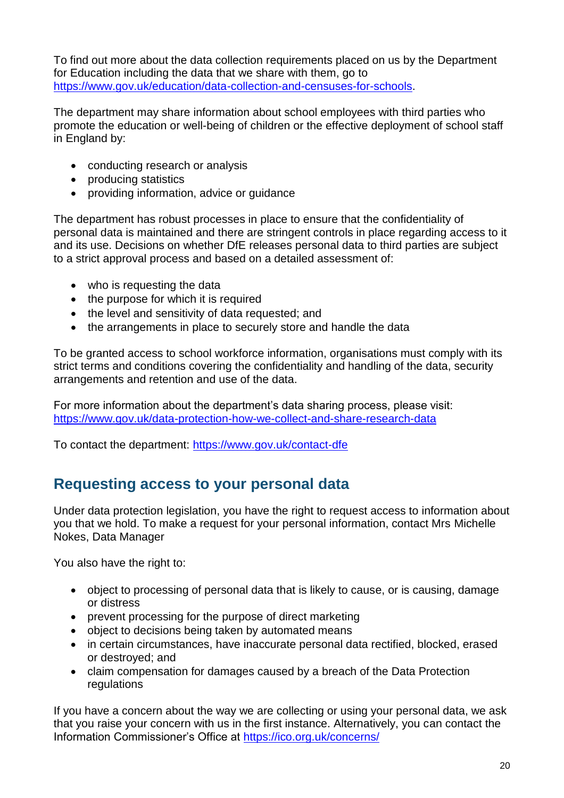To find out more about the data collection requirements placed on us by the Department for Education including the data that we share with them, go to [https://www.gov.uk/education/data-collection-and-censuses-for-schools.](https://www.gov.uk/education/data-collection-and-censuses-for-schools)

The department may share information about school employees with third parties who promote the education or well-being of children or the effective deployment of school staff in England by:

- conducting research or analysis
- producing statistics
- providing information, advice or guidance

The department has robust processes in place to ensure that the confidentiality of personal data is maintained and there are stringent controls in place regarding access to it and its use. Decisions on whether DfE releases personal data to third parties are subject to a strict approval process and based on a detailed assessment of:

- who is requesting the data
- the purpose for which it is required
- the level and sensitivity of data requested; and
- the arrangements in place to securely store and handle the data

To be granted access to school workforce information, organisations must comply with its strict terms and conditions covering the confidentiality and handling of the data, security arrangements and retention and use of the data.

For more information about the department's data sharing process, please visit: <https://www.gov.uk/data-protection-how-we-collect-and-share-research-data>

To contact the department:<https://www.gov.uk/contact-dfe>

### **Requesting access to your personal data**

Under data protection legislation, you have the right to request access to information about you that we hold. To make a request for your personal information, contact Mrs Michelle Nokes, Data Manager

You also have the right to:

- object to processing of personal data that is likely to cause, or is causing, damage or distress
- prevent processing for the purpose of direct marketing
- object to decisions being taken by automated means
- in certain circumstances, have inaccurate personal data rectified, blocked, erased or destroyed; and
- claim compensation for damages caused by a breach of the Data Protection regulations

If you have a concern about the way we are collecting or using your personal data, we ask that you raise your concern with us in the first instance. Alternatively, you can contact the Information Commissioner's Office at<https://ico.org.uk/concerns/>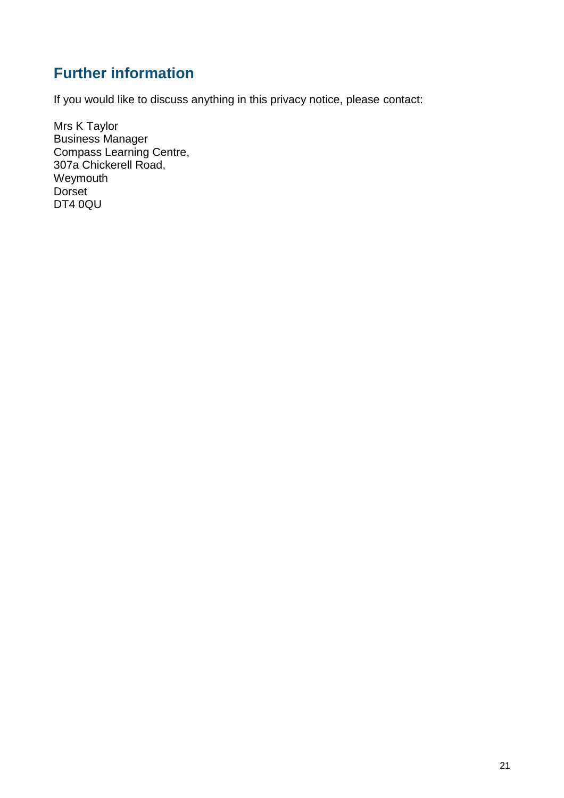## **Further information**

If you would like to discuss anything in this privacy notice, please contact:

Mrs K Taylor Business Manager Compass Learning Centre, 307a Chickerell Road, Weymouth **Dorset** DT4 0QU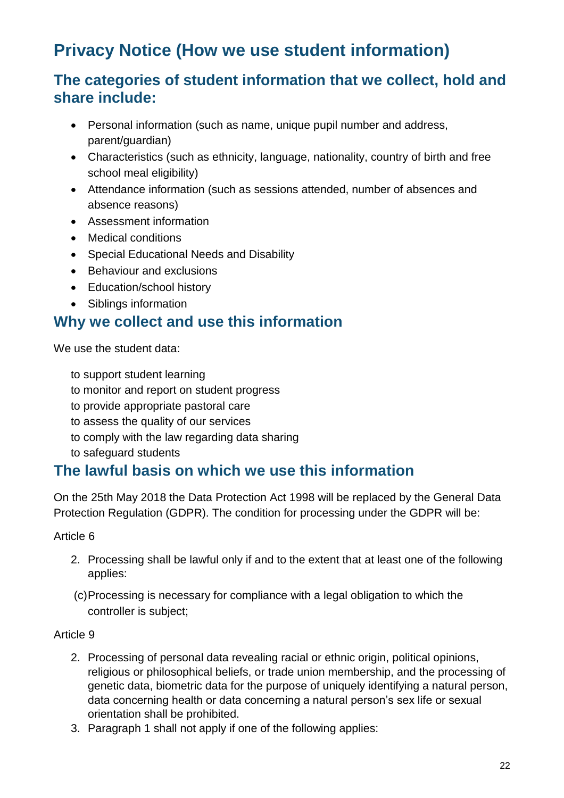# **Privacy Notice (How we use student information)**

### **The categories of student information that we collect, hold and share include:**

- Personal information (such as name, unique pupil number and address, parent/guardian)
- Characteristics (such as ethnicity, language, nationality, country of birth and free school meal eligibility)
- Attendance information (such as sessions attended, number of absences and absence reasons)
- Assessment information
- Medical conditions
- Special Educational Needs and Disability
- Behaviour and exclusions
- Education/school history
- Siblings information

### **Why we collect and use this information**

We use the student data:

to support student learning

- to monitor and report on student progress
- to provide appropriate pastoral care
- to assess the quality of our services
- to comply with the law regarding data sharing
- to safeguard students

### **The lawful basis on which we use this information**

On the 25th May 2018 the Data Protection Act 1998 will be replaced by the General Data Protection Regulation (GDPR). The condition for processing under the GDPR will be:

Article 6

- 2. Processing shall be lawful only if and to the extent that at least one of the following applies:
- (c)Processing is necessary for compliance with a legal obligation to which the controller is subject;

#### Article 9

- 2. Processing of personal data revealing racial or ethnic origin, political opinions, religious or philosophical beliefs, or trade union membership, and the processing of genetic data, biometric data for the purpose of uniquely identifying a natural person, data concerning health or data concerning a natural person's sex life or sexual orientation shall be prohibited.
- 3. Paragraph 1 shall not apply if one of the following applies: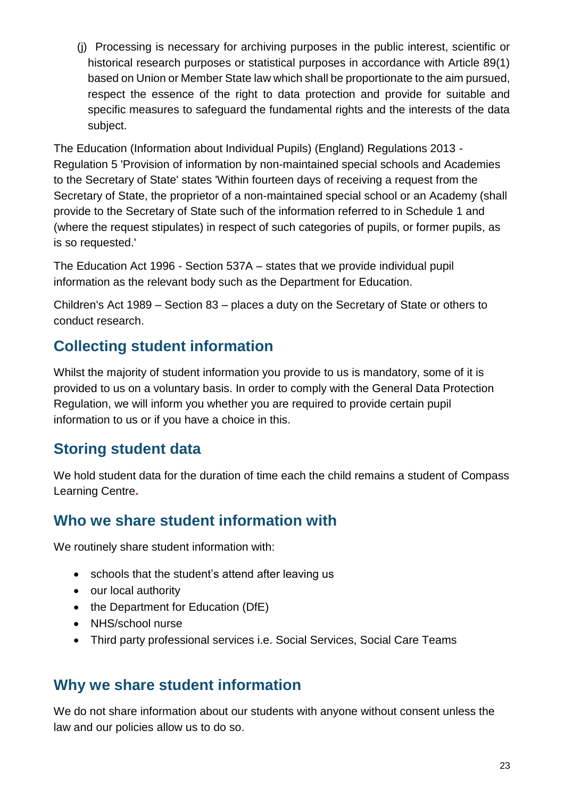(j) Processing is necessary for archiving purposes in the public interest, scientific or historical research purposes or statistical purposes in accordance with Article 89(1) based on Union or Member State law which shall be proportionate to the aim pursued, respect the essence of the right to data protection and provide for suitable and specific measures to safeguard the fundamental rights and the interests of the data subject.

The Education (Information about Individual Pupils) (England) Regulations 2013 - Regulation 5 'Provision of information by non-maintained special schools and Academies to the Secretary of State' states 'Within fourteen days of receiving a request from the Secretary of State, the proprietor of a non-maintained special school or an Academy (shall provide to the Secretary of State such of the information referred to in Schedule 1 and (where the request stipulates) in respect of such categories of pupils, or former pupils, as is so requested.'

The Education Act 1996 - Section 537A – states that we provide individual pupil information as the relevant body such as the Department for Education.

Children's Act 1989 – Section 83 – places a duty on the Secretary of State or others to conduct research.

## **Collecting student information**

Whilst the majority of student information you provide to us is mandatory, some of it is provided to us on a voluntary basis. In order to comply with the General Data Protection Regulation, we will inform you whether you are required to provide certain pupil information to us or if you have a choice in this.

## **Storing student data**

We hold student data for the duration of time each the child remains a student of Compass Learning Centre**.**

### **Who we share student information with**

We routinely share student information with:

- schools that the student's attend after leaving us
- our local authority
- the Department for Education (DfE)
- NHS/school nurse
- Third party professional services i.e. Social Services, Social Care Teams

### **Why we share student information**

We do not share information about our students with anyone without consent unless the law and our policies allow us to do so.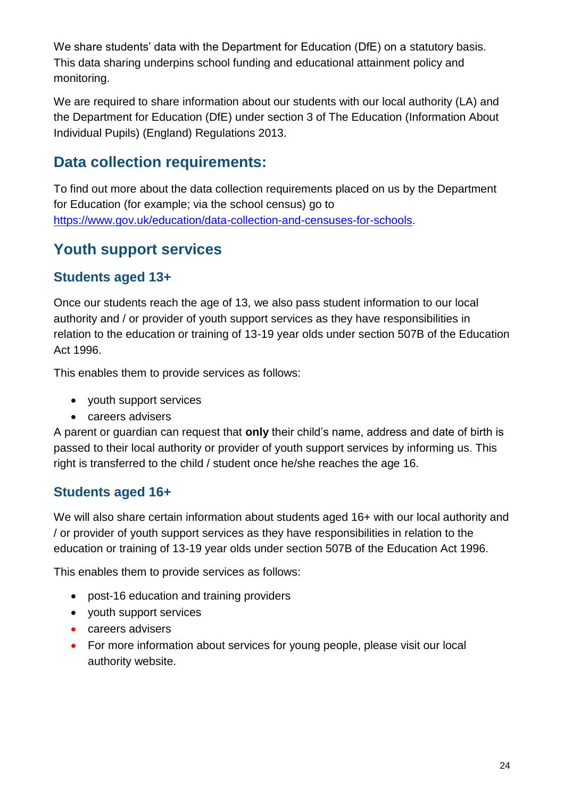We share students' data with the Department for Education (DfE) on a statutory basis. This data sharing underpins school funding and educational attainment policy and monitoring.

We are required to share information about our students with our local authority (LA) and the Department for Education (DfE) under section 3 of The Education (Information About Individual Pupils) (England) Regulations 2013.

## **Data collection requirements:**

To find out more about the data collection requirements placed on us by the Department for Education (for example; via the school census) go to [https://www.gov.uk/education/data-collection-and-censuses-for-schools.](https://www.gov.uk/education/data-collection-and-censuses-for-schools)

## **Youth support services**

### **Students aged 13+**

Once our students reach the age of 13, we also pass student information to our local authority and / or provider of youth support services as they have responsibilities in relation to the education or training of 13-19 year olds under section 507B of the Education Act 1996.

This enables them to provide services as follows:

- youth support services
- careers advisers

A parent or guardian can request that **only** their child's name, address and date of birth is passed to their local authority or provider of youth support services by informing us. This right is transferred to the child / student once he/she reaches the age 16.

### **Students aged 16+**

We will also share certain information about students aged 16+ with our local authority and / or provider of youth support services as they have responsibilities in relation to the education or training of 13-19 year olds under section 507B of the Education Act 1996.

This enables them to provide services as follows:

- post-16 education and training providers
- youth support services
- careers advisers
- For more information about services for young people, please visit our local authority website.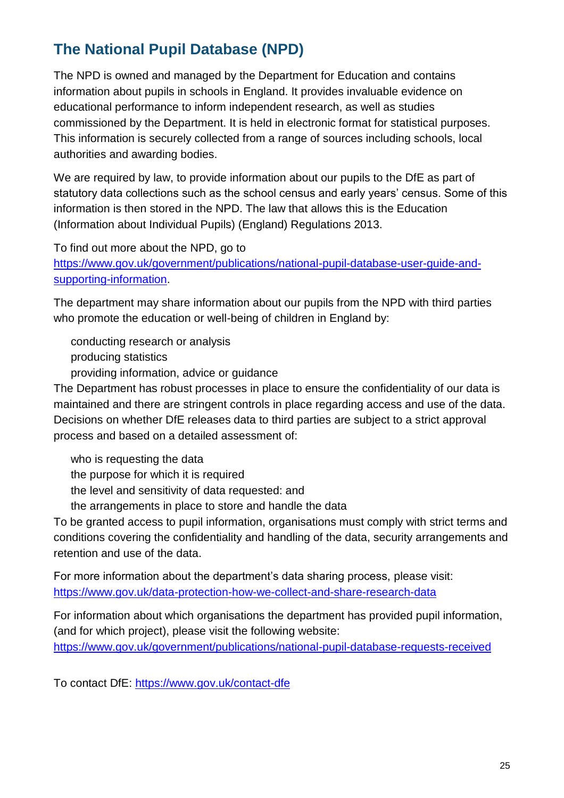## **The National Pupil Database (NPD)**

The NPD is owned and managed by the Department for Education and contains information about pupils in schools in England. It provides invaluable evidence on educational performance to inform independent research, as well as studies commissioned by the Department. It is held in electronic format for statistical purposes. This information is securely collected from a range of sources including schools, local authorities and awarding bodies.

We are required by law, to provide information about our pupils to the DfE as part of statutory data collections such as the school census and early years' census. Some of this information is then stored in the NPD. The law that allows this is the Education (Information about Individual Pupils) (England) Regulations 2013.

To find out more about the NPD, go to

[https://www.gov.uk/government/publications/national-pupil-database-user-guide-and](https://www.gov.uk/government/publications/national-pupil-database-user-guide-and-supporting-information)[supporting-information.](https://www.gov.uk/government/publications/national-pupil-database-user-guide-and-supporting-information)

The department may share information about our pupils from the NPD with third parties who promote the education or well-being of children in England by:

conducting research or analysis producing statistics providing information, advice or guidance

The Department has robust processes in place to ensure the confidentiality of our data is maintained and there are stringent controls in place regarding access and use of the data. Decisions on whether DfE releases data to third parties are subject to a strict approval process and based on a detailed assessment of:

who is requesting the data

the purpose for which it is required

the level and sensitivity of data requested: and

the arrangements in place to store and handle the data

To be granted access to pupil information, organisations must comply with strict terms and conditions covering the confidentiality and handling of the data, security arrangements and retention and use of the data.

For more information about the department's data sharing process, please visit: <https://www.gov.uk/data-protection-how-we-collect-and-share-research-data>

For information about which organisations the department has provided pupil information, (and for which project), please visit the following website: <https://www.gov.uk/government/publications/national-pupil-database-requests-received>

To contact DfE:<https://www.gov.uk/contact-dfe>